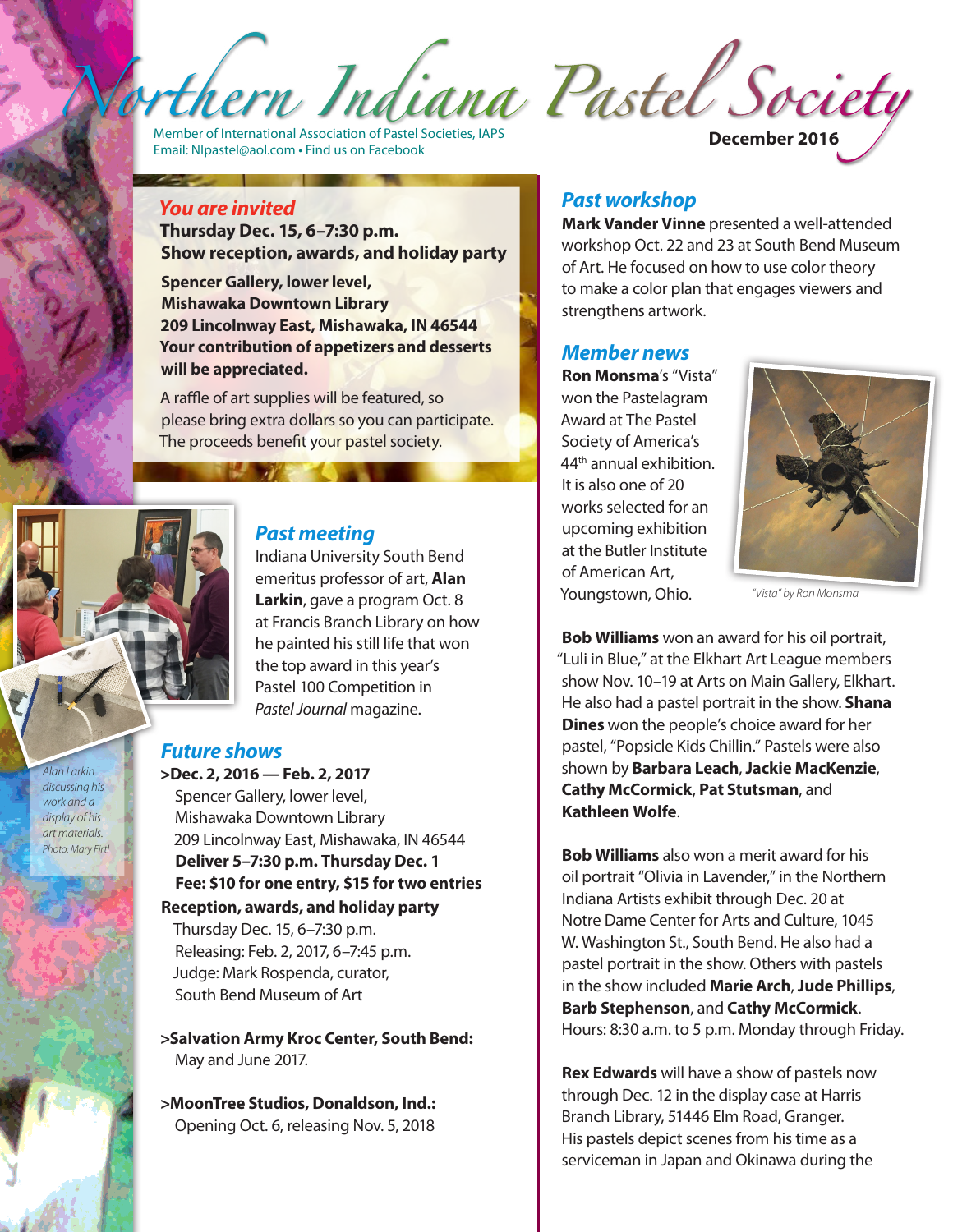Member of International Association of Pastel Societies, IAPS Email: NIpastel@aol.com • Find us on Facebook **December 2016**

## *You are invited*

**Thursday Dec. 15, 6–7:30 p.m. Show reception, awards, and holiday party** 

**Spencer Gallery, lower level, Mishawaka Downtown Library 209 Lincolnway East, Mishawaka, IN 46544 Your contribution of appetizers and desserts will be appreciated.** 

A raffle of art supplies will be featured, so please bring extra dollars so you can participate. The proceeds benefit your pastel society.

### *Past meeting*

Indiana University South Bend emeritus professor of art, **Alan Larkin**, gave a program Oct. 8 at Francis Branch Library on how he painted his still life that won the top award in this year's Pastel 100 Competition in *Pastel Journal* magazine.

### *Future shows*

**>Dec. 2, 2016 — Feb. 2, 2017** Spencer Gallery, lower level, Mishawaka Downtown Library 209 Lincolnway East, Mishawaka, IN 46544 **Deliver 5–7:30 p.m. Thursday Dec. 1 Fee: \$10 for one entry, \$15 for two entries Reception, awards, and holiday party**  Thursday Dec. 15, 6–7:30 p.m. Releasing: Feb. 2, 2017, 6–7:45 p.m. Judge: Mark Rospenda, curator, South Bend Museum of Art

**>Salvation Army Kroc Center, South Bend:** May and June 2017.

**>MoonTree Studios, Donaldson, Ind.:** Opening Oct. 6, releasing Nov. 5, 2018

## *Past workshop*

**Mark Vander Vinne** presented a well-attended workshop Oct. 22 and 23 at South Bend Museum of Art. He focused on how to use color theory to make a color plan that engages viewers and strengthens artwork.

#### *Member news*

**Ron Monsma**'s "Vista" won the Pastelagram Award at The Pastel Society of America's 44th annual exhibition. It is also one of 20 works selected for an upcoming exhibition at the Butler Institute of American Art, Youngstown, Ohio.



 *"Vista" by Ron Monsma*

**Bob Williams** won an award for his oil portrait, "Luli in Blue," at the Elkhart Art League members show Nov. 10–19 at Arts on Main Gallery, Elkhart. He also had a pastel portrait in the show. **Shana Dines** won the people's choice award for her pastel, "Popsicle Kids Chillin." Pastels were also shown by **Barbara Leach**, **Jackie MacKenzie**, **Cathy McCormick**, **Pat Stutsman**, and **Kathleen Wolfe**.

**Bob Williams** also won a merit award for his oil portrait "Olivia in Lavender," in the Northern Indiana Artists exhibit through Dec. 20 at Notre Dame Center for Arts and Culture, 1045 W. Washington St., South Bend. He also had a pastel portrait in the show. Others with pastels in the show included **Marie Arch**, **Jude Phillips**, **Barb Stephenson**, and **Cathy McCormick**. Hours: 8:30 a.m. to 5 p.m. Monday through Friday.

**Rex Edwards** will have a show of pastels now through Dec. 12 in the display case at Harris Branch Library, 51446 Elm Road, Granger. His pastels depict scenes from his time as a serviceman in Japan and Okinawa during the

*Alan Larkin discussing his work and a display of his art materials. Photo: Mary Firtl*